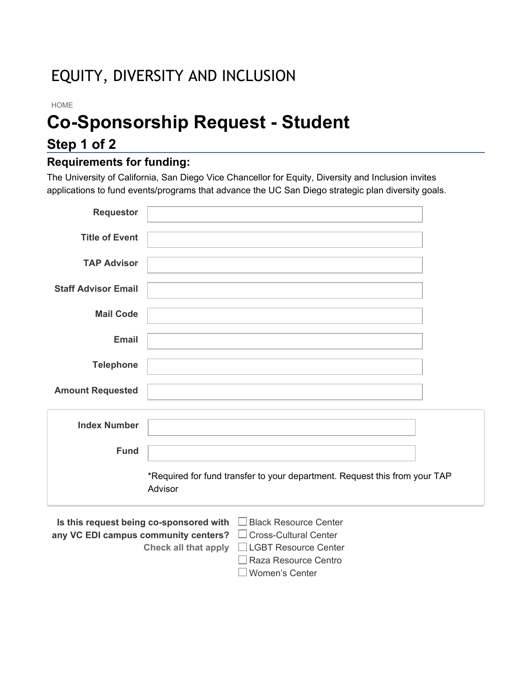## EQUITY, DIVERSITY AND INCLUSION

#### HOME

# **Co-Sponsorship Request - Student**

## **Step 1 of 2**

#### **Requirements for funding:**

The University of California, San Diego Vice Chancellor for Equity, Diversity and Inclusion invites applications to fund events/programs that advance the UC San Diego strategic plan diversity goals.

| <b>Requestor</b>           |                                                                                       |  |
|----------------------------|---------------------------------------------------------------------------------------|--|
| <b>Title of Event</b>      |                                                                                       |  |
| <b>TAP Advisor</b>         |                                                                                       |  |
| <b>Staff Advisor Email</b> |                                                                                       |  |
| <b>Mail Code</b>           |                                                                                       |  |
| Email                      |                                                                                       |  |
| <b>Telephone</b>           |                                                                                       |  |
|                            |                                                                                       |  |
| <b>Amount Requested</b>    |                                                                                       |  |
| <b>Index Number</b>        |                                                                                       |  |
| <b>Fund</b>                |                                                                                       |  |
|                            | *Required for fund transfer to your department. Request this from your TAP<br>Advisor |  |
|                            | Is this request being co-sponsored with<br><b>Black Resource Center</b>               |  |

**Is this request being co-sponsored with any VC EDI campus community centers?** □ Cross-Cultural Center **Check all that apply** LGBT Resource Center Black Resource Center Raza Resource Centro Women's Center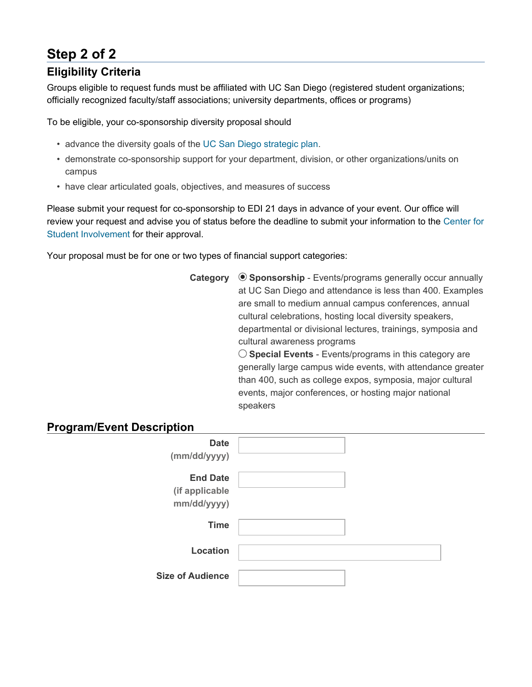## **Step 2 of 2**

#### **Eligibility Criteria**

Groups eligible to request funds must be affiliated with UC San Diego (registered student organizations; officially recognized faculty/staff associations; university departments, offices or programs)

To be eligible, your co-sponsorship diversity proposal should

- advance the diversity goals of the UC San Diego strategic plan.
- demonstrate co-sponsorship support for your department, division, or other organizations/units on campus
- have clear articulated goals, objectives, and measures of success

Please submit your request for co-sponsorship to EDI 21 days in advance of your event. Our office will review your request and advise you of status before the deadline to submit your information to the Center for Student Involvement for their approval.

Your proposal must be for one or two types of financial support categories:

**Category**  $\odot$  **Sponsorship** - Events/programs generally occur annually at UC San Diego and attendance is less than 400. Examples are small to medium annual campus conferences, annual cultural celebrations, hosting local diversity speakers, departmental or divisional lectures, trainings, symposia and cultural awareness programs

**Special Events** - Events/programs in this category are generally large campus wide events, with attendance greater than 400, such as college expos, symposia, major cultural events, major conferences, or hosting major national speakers

#### **Program/Event Description**

| <b>Date</b><br>(mm/dd/yyyy)                      |  |
|--------------------------------------------------|--|
| <b>End Date</b><br>(if applicable<br>mm/dd/yyyy) |  |
| <b>Time</b>                                      |  |
| Location                                         |  |
| <b>Size of Audience</b>                          |  |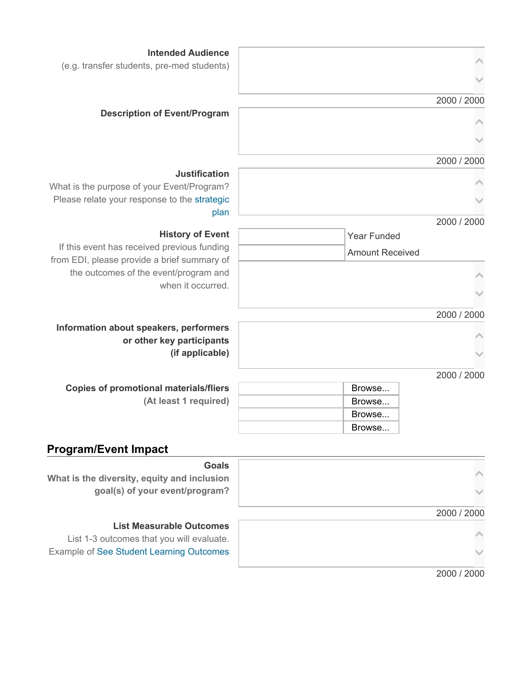| <b>Intended Audience</b>                                   |                        |
|------------------------------------------------------------|------------------------|
| (e.g. transfer students, pre-med students)                 |                        |
|                                                            |                        |
|                                                            | 2000 / 2000            |
| <b>Description of Event/Program</b>                        |                        |
|                                                            |                        |
|                                                            |                        |
|                                                            | 2000 / 2000            |
| <b>Justification</b>                                       |                        |
| What is the purpose of your Event/Program?                 |                        |
| Please relate your response to the strategic               |                        |
| plan                                                       |                        |
|                                                            | 2000 / 2000            |
| <b>History of Event</b>                                    | <b>Year Funded</b>     |
| If this event has received previous funding                | <b>Amount Received</b> |
| from EDI, please provide a brief summary of                |                        |
| the outcomes of the event/program and<br>when it occurred. |                        |
|                                                            |                        |
|                                                            |                        |
| Information about speakers, performers                     | 2000 / 2000            |
| or other key participants                                  |                        |
| (if applicable)                                            |                        |
|                                                            |                        |
|                                                            | 2000 / 2000            |
| <b>Copies of promotional materials/fliers</b>              | Browse                 |
| (At least 1 required)                                      | Browse                 |
|                                                            | Browse                 |
|                                                            | Browse                 |
| <b>Program/Event Impact</b>                                |                        |
| <b>Goals</b>                                               |                        |
| What is the diversity, equity and inclusion                |                        |
| goal(s) of your event/program?                             |                        |

#### **List Measurable Outcomes**

List 1-3 outcomes that you will evaluate. Example of See Student Learning Outcomes

2000 / 2000

2000 / 2000

 $\mathcal{A}$ 

 $\checkmark$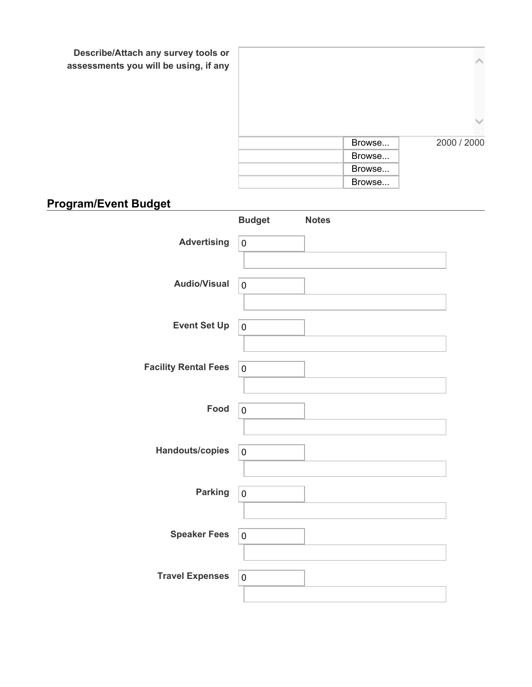**Describe/Attach any survey tools or assessments you will be using, if any**

| Browse | 2000 / 2000 |
|--------|-------------|
| Browse |             |
| Browse |             |
| Browse |             |
|        |             |

## **Program/Event Budget**

|                             | <b>Budget</b> | <b>Notes</b> |  |
|-----------------------------|---------------|--------------|--|
| <b>Advertising</b>          | $\pmb{0}$     |              |  |
| <b>Audio/Visual</b>         | $\mathbf 0$   |              |  |
| <b>Event Set Up</b>         | $\pmb{0}$     |              |  |
| <b>Facility Rental Fees</b> | $\mathbf 0$   |              |  |
| Food                        | $\mathbf 0$   |              |  |
| Handouts/copies             | $\pmb{0}$     |              |  |
| <b>Parking</b>              | $\mathbf 0$   |              |  |
| <b>Speaker Fees</b>         | 0             |              |  |
| <b>Travel Expenses</b>      | $\pmb{0}$     |              |  |
|                             |               |              |  |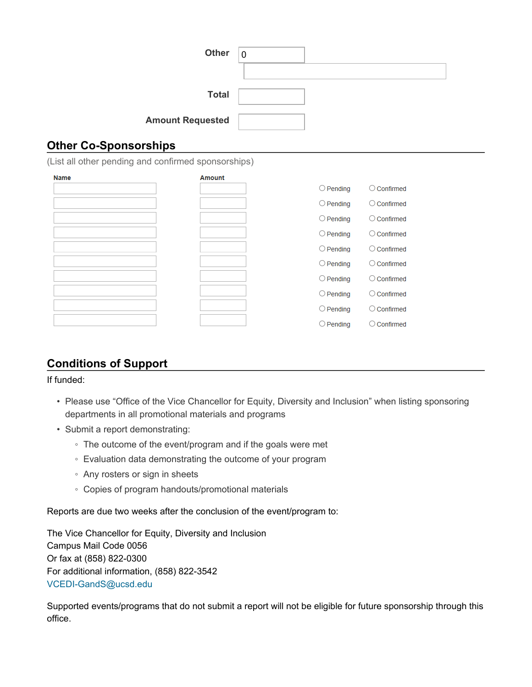| <b>Other</b>            | $\Omega$ |
|-------------------------|----------|
|                         |          |
| <b>Total</b>            |          |
| <b>Amount Requested</b> |          |

#### **Other Co-Sponsorships**

(List all other pending and confirmed sponsorships)

| <b>Name</b> | <b>Amount</b> |                    |                      |
|-------------|---------------|--------------------|----------------------|
|             |               | $\bigcirc$ Pending | Confirmed<br>. .     |
|             |               | $\bigcirc$ Pending | $\bigcirc$ Confirmed |
|             |               | $\bigcirc$ Pending | $\bigcirc$ Confirmed |
|             |               | $\bigcirc$ Pending | $\bigcirc$ Confirmed |
|             |               | $\bigcirc$ Pending | $\bigcirc$ Confirmed |
|             |               | $\bigcirc$ Pending | $\bigcirc$ Confirmed |
|             |               | $\bigcirc$ Pending | $\bigcirc$ Confirmed |
|             |               | $\bigcirc$ Pending | $\bigcirc$ Confirmed |
|             |               | $\bigcirc$ Pending | Confirmed<br>( )     |
|             |               | $\bigcirc$ Pending | Confirmed<br>Ο       |

#### **Conditions of Support**

#### If funded:

- Please use "Office of the Vice Chancellor for Equity, Diversity and Inclusion" when listing sponsoring departments in all promotional materials and programs
- Submit a report demonstrating:
	- The outcome of the event/program and if the goals were met
	- Evaluation data demonstrating the outcome of your program
	- Any rosters or sign in sheets
	- Copies of program handouts/promotional materials

Reports are due two weeks after the conclusion of the event/program to:

The Vice Chancellor for Equity, Diversity and Inclusion Campus Mail Code 0056 Or fax at (858) 822-0300 For additional information, (858) 822-3542 VCEDI-GandS@ucsd.edu

Supported events/programs that do not submit a report will not be eligible for future sponsorship through this office.